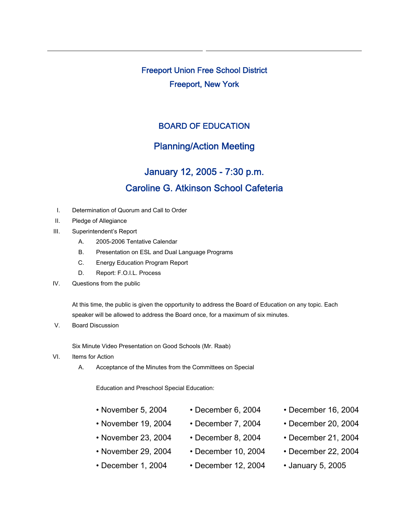Freeport Union Free School District Freeport, New York

## BOARD OF EDUCATION

## Planning/Action Meeting

## January 12, 2005 - 7:30 p.m. Caroline G. Atkinson School Cafeteria

- I. Determination of Quorum and Call to Order
- II. Pledge of Allegiance
- III. Superintendent's Report
	- A. 2005-2006 Tentative Calendar
	- B. Presentation on ESL and Dual Language Programs
	- C. Energy Education Program Report
	- D. Report: F.O.I.L. Process
- IV. Questions from the public

At this time, the public is given the opportunity to address the Board of Education on any topic. Each speaker will be allowed to address the Board once, for a maximum of six minutes.

V. Board Discussion

Six Minute Video Presentation on Good Schools (Mr. Raab)

- VI. Items for Action
	- A. Acceptance of the Minutes from the Committees on Special

Education and Preschool Special Education:

| • November 5, 2004 |  |                          | $\cdot$ December 6, 2004 |  |         | • December 16, 2004 |  |  |                                    |
|--------------------|--|--------------------------|--------------------------|--|---------|---------------------|--|--|------------------------------------|
|                    |  | $\overline{\phantom{a}}$ |                          |  | - ^^^ ' |                     |  |  | $\sim$ $\sim$ $\sim$ $\sim$ $\sim$ |

- 
- November 23, 2004 December 8, 2004 December 21, 2004
	-
- December 1, 2004 December 12, 2004 January 5, 2005
- 
- November 19, 2004 December 7, 2004 December 20, 2004
	-
- November 29, 2004 December 10, 2004 December 22, 2004
	-